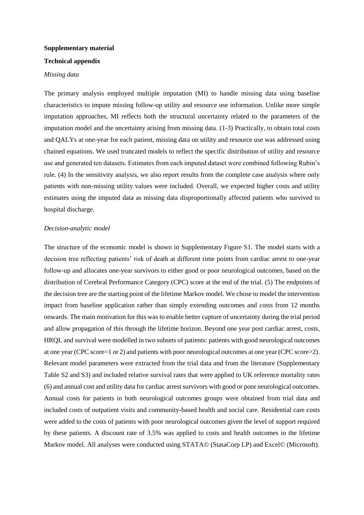### **Supplementary material**

### **Technical appendix**

#### *Missing data*

The primary analysis employed multiple imputation (MI) to handle missing data using baseline characteristics to impute missing follow-up utility and resource use information. Unlike more simple imputation approaches, MI reflects both the structural uncertainty related to the parameters of the imputation model and the uncertainty arising from missing data. (1-3) Practically, to obtain total costs and QALYs at one-year for each patient, missing data on utility and resource use was addressed using chained equations. We used truncated models to reflect the specific distribution of utility and resource use and generated ten datasets. Estimates from each imputed dataset were combined following Rubin's rule. (4) In the sensitivity analysis, we also report results from the complete case analysis where only patients with non-missing utility values were included. Overall, we expected higher costs and utility estimates using the imputed data as missing data disproportionally affected patients who survived to hospital discharge.

#### *Decision-analytic model*

The structure of the economic model is shown in Supplementary Figure S1. The model starts with a decision tree reflecting patients' risk of death at different time points from cardiac arrest to one-year follow-up and allocates one-year survivors to either good or poor neurological outcomes, based on the distribution of Cerebral Performance Category (CPC) score at the end of the trial. (5) The endpoints of the decision tree are the starting point of the lifetime Markov model. We chose to model the intervention impact from baseline application rather than simply extending outcomes and costs from 12 months onwards. The main motivation for this was to enable better capture of uncertainty during the trial period and allow propagation of this through the lifetime horizon. Beyond one year post cardiac arrest, costs, HRQL and survival were modelled in two subsets of patients: patients with good neurological outcomes at one year (CPC score=1 or 2) and patients with poor neurological outcomes at one year (CPC score>2). Relevant model parameters were extracted from the trial data and from the literature (Supplementary Table S2 and S3) and included relative survival rates that were applied to UK reference mortality rates (6) and annual cost and utility data for cardiac arrest survivors with good or poor neurological outcomes. Annual costs for patients in both neurological outcomes groups were obtained from trial data and included costs of outpatient visits and community-based health and social care. Residential care costs were added to the costs of patients with poor neurological outcomes given the level of support required by these patients. A discount rate of 3.5% was applied to costs and health outcomes in the lifetime Markov model. All analyses were conducted using STATA© (StataCorp LP) and Excel© (Microsoft).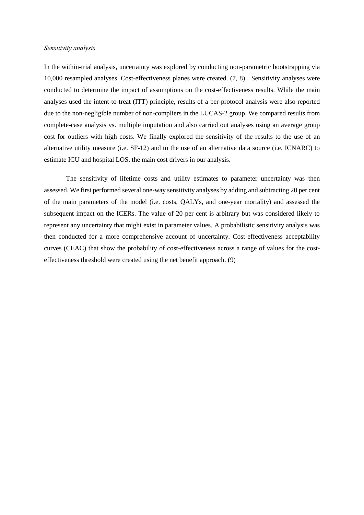#### *Sensitivity analysis*

In the within-trial analysis, uncertainty was explored by conducting non-parametric bootstrapping via 10,000 resampled analyses. Cost-effectiveness planes were created. (7, 8) Sensitivity analyses were conducted to determine the impact of assumptions on the cost-effectiveness results. While the main analyses used the intent-to-treat (ITT) principle, results of a per-protocol analysis were also reported due to the non-negligible number of non-compliers in the LUCAS-2 group. We compared results from complete-case analysis vs. multiple imputation and also carried out analyses using an average group cost for outliers with high costs. We finally explored the sensitivity of the results to the use of an alternative utility measure (i.e. SF-12) and to the use of an alternative data source (i.e. ICNARC) to estimate ICU and hospital LOS, the main cost drivers in our analysis.

The sensitivity of lifetime costs and utility estimates to parameter uncertainty was then assessed. We first performed several one-way sensitivity analyses by adding and subtracting 20 per cent of the main parameters of the model (i.e. costs, QALYs, and one-year mortality) and assessed the subsequent impact on the ICERs. The value of 20 per cent is arbitrary but was considered likely to represent any uncertainty that might exist in parameter values. A probabilistic sensitivity analysis was then conducted for a more comprehensive account of uncertainty. Cost-effectiveness acceptability curves (CEAC) that show the probability of cost-effectiveness across a range of values for the costeffectiveness threshold were created using the net benefit approach. (9)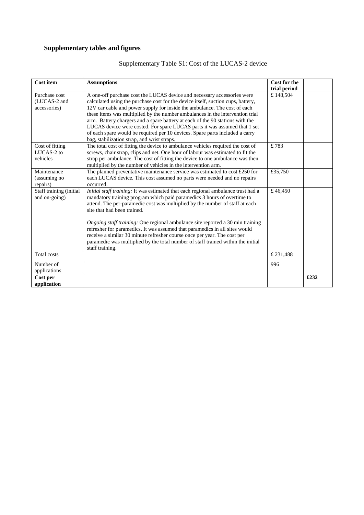# **Supplementary tables and figures**

| Cost item                                     | <b>Assumptions</b>                                                                                                                                                                                                                                                                                                                                                                                                                                                                                                                                                                                                              | Cost for the             |      |
|-----------------------------------------------|---------------------------------------------------------------------------------------------------------------------------------------------------------------------------------------------------------------------------------------------------------------------------------------------------------------------------------------------------------------------------------------------------------------------------------------------------------------------------------------------------------------------------------------------------------------------------------------------------------------------------------|--------------------------|------|
| Purchase cost<br>(LUCAS-2 and<br>accessories) | A one-off purchase cost the LUCAS device and necessary accessories were<br>calculated using the purchase cost for the device itself, suction cups, battery,<br>12V car cable and power supply for inside the ambulance. The cost of each<br>these items was multiplied by the number ambulances in the intervention trial<br>arm. Battery chargers and a spare battery at each of the 90 stations with the<br>LUCAS device were costed. For spare LUCAS parts it was assumed that 1 set<br>of each spare would be required per 10 devices. Spare parts included a carry<br>bag, stabilization strap, and wrist straps.          | trial period<br>£148,504 |      |
| Cost of fitting<br>LUCAS-2 to<br>vehicles     | The total cost of fitting the device to ambulance vehicles required the cost of<br>screws, chair strap, clips and net. One hour of labour was estimated to fit the<br>strap per ambulance. The cost of fitting the device to one ambulance was then<br>multiplied by the number of vehicles in the intervention arm.                                                                                                                                                                                                                                                                                                            | £783                     |      |
| Maintenance<br>(assuming no<br>repairs)       | The planned preventative maintenance service was estimated to cost $£250$ for<br>each LUCAS device. This cost assumed no parts were needed and no repairs<br>occurred.                                                                                                                                                                                                                                                                                                                                                                                                                                                          | £35,750                  |      |
| Staff training (initial<br>and on-going)      | Initial staff training: It was estimated that each regional ambulance trust had a<br>mandatory training program which paid paramedics 3 hours of overtime to<br>attend. The per-paramedic cost was multiplied by the number of staff at each<br>site that had been trained.<br>Ongoing staff training: One regional ambulance site reported a 30 min training<br>refresher for paramedics. It was assumed that paramedics in all sites would<br>receive a similar 30 minute refresher course once per year. The cost per<br>paramedic was multiplied by the total number of staff trained within the initial<br>staff training. | £46,450                  |      |
| Total costs                                   |                                                                                                                                                                                                                                                                                                                                                                                                                                                                                                                                                                                                                                 | £ 231,488                |      |
| Number of<br>applications                     |                                                                                                                                                                                                                                                                                                                                                                                                                                                                                                                                                                                                                                 | 996                      |      |
| Cost per<br>application                       |                                                                                                                                                                                                                                                                                                                                                                                                                                                                                                                                                                                                                                 |                          | £232 |

# Supplementary Table S1: Cost of the LUCAS-2 device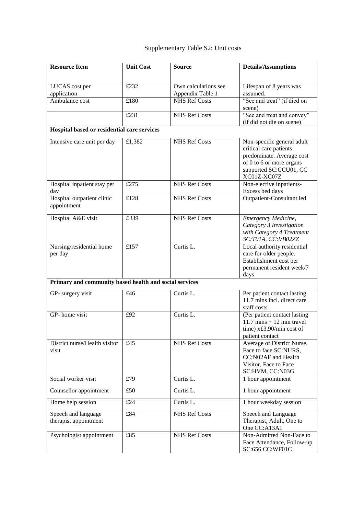# Supplementary Table S2: Unit costs

| <b>Resource Item</b>                                   | <b>Unit Cost</b>                    | <b>Source</b>                            | <b>Details/Assumptions</b>                                                                                                                             |
|--------------------------------------------------------|-------------------------------------|------------------------------------------|--------------------------------------------------------------------------------------------------------------------------------------------------------|
| LUCAS cost per<br>application                          | £232                                | Own calculations see<br>Appendix Table 1 | Lifespan of 8 years was<br>assumed.                                                                                                                    |
| Ambulance cost                                         | £180                                | <b>NHS Ref Costs</b>                     | "See and treat" (if died on<br>scene)                                                                                                                  |
|                                                        | £231                                | <b>NHS Ref Costs</b>                     | "See and treat and convey"<br>(if did not die on scene)                                                                                                |
| Hospital based or residential care services            |                                     |                                          |                                                                                                                                                        |
| Intensive care unit per day                            | £1,382                              | <b>NHS Ref Costs</b>                     | Non-specific general adult<br>critical care patients<br>predominate. Average cost<br>of 0 to 6 or more organs<br>supported SC:CCU01, CC<br>XC01Z-XC07Z |
| Hospital inpatient stay per<br>day                     | £275                                | <b>NHS Ref Costs</b>                     | Non-elective inpatients-<br>Excess bed days                                                                                                            |
| Hospital outpatient clinic<br>appointment              | £128                                | <b>NHS Ref Costs</b>                     | Outpatient-Consultant led                                                                                                                              |
| Hospital A&E visit                                     | £339                                | <b>NHS Ref Costs</b>                     | Emergency Medicine,<br>Category 3 Investigation<br>with Category 4 Treatment<br>SC:T01A, CC:VB02ZZ                                                     |
| Nursing/residential home<br>per day                    | £157                                | Curtis L.                                | Local authority residential<br>care for older people.<br>Establishment cost per<br>permanent resident week/7<br>days                                   |
| Primary and community based health and social services |                                     |                                          |                                                                                                                                                        |
| GP- surgery visit                                      | $\overline{\text{\textsterling}}46$ | Curtis L.                                | Per patient contact lasting<br>11.7 mins incl. direct care<br>staff costs                                                                              |
| GP-home visit                                          | £92                                 | Curtis L.                                | (Per patient contact lasting<br>$11.7$ mins $+12$ min travel<br>time) x£3.90/min cost of<br>patient contact                                            |
| District nurse/Health visitor<br>visit                 | £45                                 | <b>NHS Ref Costs</b>                     | Average of District Nurse,<br>Face to face SC:NURS,<br>CC;N02AF and Health<br>Visitor, Face to Face<br>SC:HVM, CC:N03G                                 |
| Social worker visit                                    | £79                                 | Curtis L.                                | 1 hour appointment                                                                                                                                     |
| Counsellor appointment                                 | £50                                 | Curtis L.                                | 1 hour appointment                                                                                                                                     |
| Home help session                                      | £24                                 | Curtis L.                                | 1 hour weekday session                                                                                                                                 |
| Speech and language<br>therapist appointment           | £84                                 | <b>NHS Ref Costs</b>                     | Speech and Language<br>Therapist, Adult, One to<br>One CC:A13A1                                                                                        |
| Psychologist appointment                               | £85                                 | <b>NHS Ref Costs</b>                     | Non-Admitted Non-Face to<br>Face Attendance, Follow-up<br>SC:656 CC:WF01C                                                                              |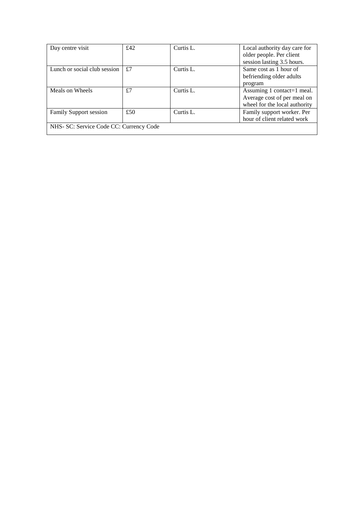| Day centre visit                        | £42 | Curtis L. | Local authority day care for  |
|-----------------------------------------|-----|-----------|-------------------------------|
|                                         |     |           | older people. Per client      |
|                                         |     |           | session lasting 3.5 hours.    |
| Lunch or social club session            | £7  | Curtis L. | Same cost as 1 hour of        |
|                                         |     |           | befriending older adults      |
|                                         |     |           | program                       |
| Meals on Wheels                         | £7  | Curtis L. | Assuming 1 contact=1 meal.    |
|                                         |     |           | Average cost of per meal on   |
|                                         |     |           | wheel for the local authority |
| Family Support session                  | £50 | Curtis L. | Family support worker. Per    |
|                                         |     |           | hour of client related work   |
| NHS- SC: Service Code CC: Currency Code |     |           |                               |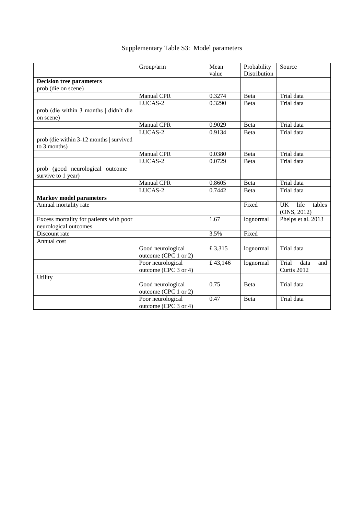|  |  | Supplementary Table S3: Model parameters |  |  |  |
|--|--|------------------------------------------|--|--|--|
|--|--|------------------------------------------|--|--|--|

|                                                             | Group/arm            | Mean    | Probability  | Source                      |
|-------------------------------------------------------------|----------------------|---------|--------------|-----------------------------|
|                                                             |                      | value   | Distribution |                             |
| <b>Decision tree parameters</b>                             |                      |         |              |                             |
| prob (die on scene)                                         |                      |         |              |                             |
|                                                             | <b>Manual CPR</b>    | 0.3274  | Beta         | Trial data                  |
|                                                             | LUCAS-2              | 0.3290  | Beta         | Trial data                  |
| prob (die within 3 months   didn't die                      |                      |         |              |                             |
| on scene)                                                   |                      |         |              |                             |
|                                                             | Manual CPR           | 0.9029  | Beta         | Trial data                  |
|                                                             | LUCAS-2              | 0.9134  | Beta         | Trial data                  |
| $\overline{\text{prob}}$ (die within 3-12 months   survived |                      |         |              |                             |
| to 3 months)                                                |                      |         |              |                             |
|                                                             | <b>Manual CPR</b>    | 0.0380  | Beta         | Trial data                  |
|                                                             | LUCAS-2              | 0.0729  | Beta         | Trial data                  |
| prob (good neurological outcome                             |                      |         |              |                             |
| survive to 1 year)                                          |                      |         |              |                             |
|                                                             | Manual CPR           | 0.8605  | Beta         | Trial data                  |
|                                                             | LUCAS-2              | 0.7442  | Beta         | Trial data                  |
| <b>Markov model parameters</b>                              |                      |         |              |                             |
| Annual mortality rate                                       |                      |         | Fixed        | <b>UK</b><br>life<br>tables |
|                                                             |                      |         |              | (ONS, 2012)                 |
| Excess mortality for patients with poor                     |                      | 1.67    | lognormal    | Phelps et al. 2013          |
| neurological outcomes                                       |                      |         |              |                             |
| Discount rate                                               |                      | 3.5%    | Fixed        |                             |
| Annual cost                                                 |                      |         |              |                             |
|                                                             | Good neurological    | £3,315  | lognormal    | Trial data                  |
|                                                             | outcome (CPC 1 or 2) |         |              |                             |
|                                                             | Poor neurological    | £43,146 | lognormal    | Trial<br>data<br>and        |
|                                                             | outcome (CPC 3 or 4) |         |              | Curtis 2012                 |
| Utility                                                     |                      |         |              |                             |
|                                                             | Good neurological    | 0.75    | <b>B</b> eta | Trial data                  |
|                                                             | outcome (CPC 1 or 2) |         |              |                             |
|                                                             | Poor neurological    | 0.47    | Beta         | Trial data                  |
|                                                             | outcome (CPC 3 or 4) |         |              |                             |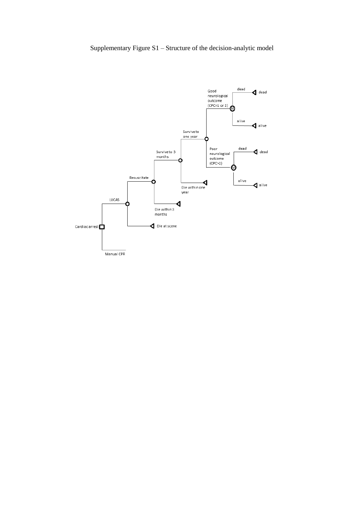## Supplementary Figure S1 – Structure of the decision-analytic model